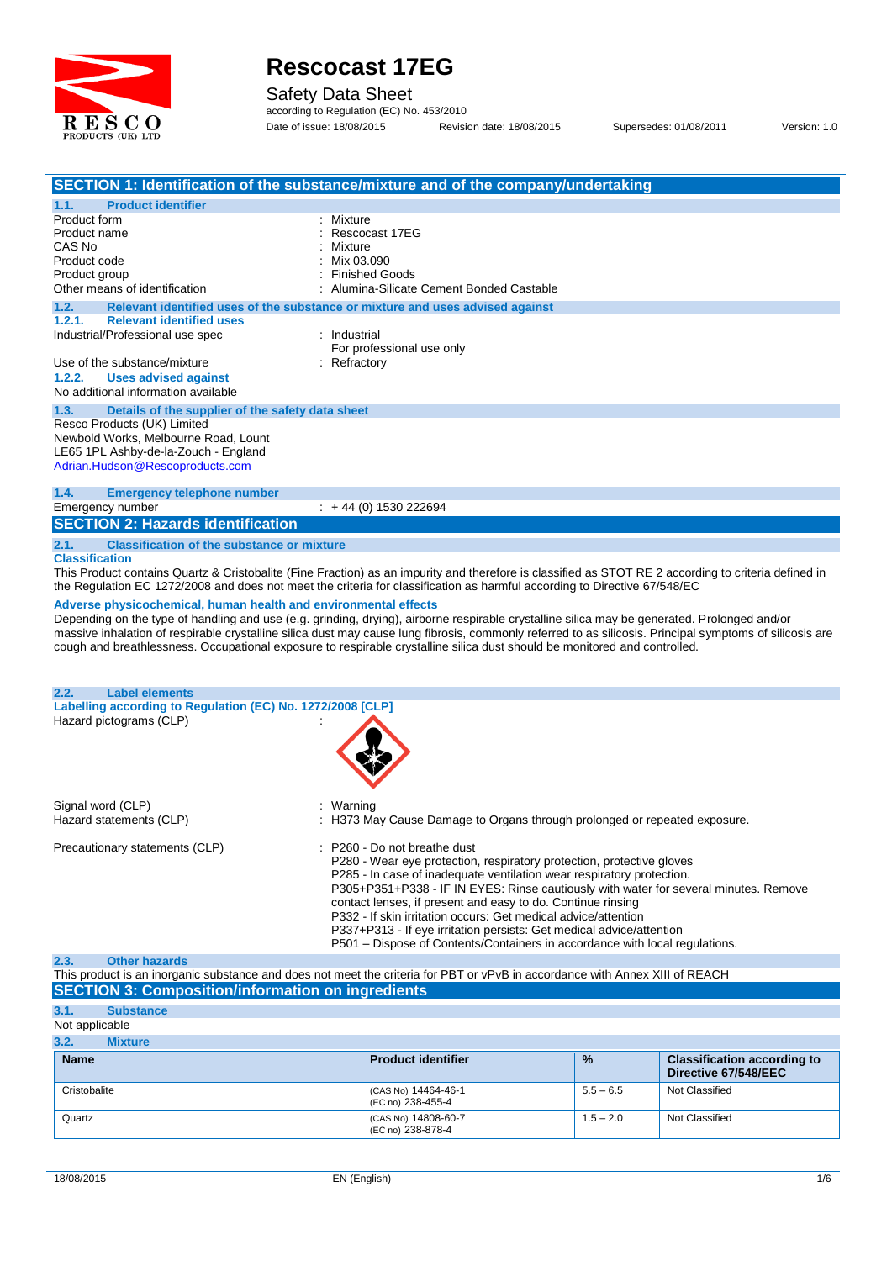

Safety Data Sheet

according to Regulation (EC) No. 453/2010 Date of issue: 18/08/2015 Revision date: 18/08/2015 Supersedes: 01/08/2011 Version: 1.0

|                                                                                                                                                                                               | SECTION 1: Identification of the substance/mixture and of the company/undertaking                                                                                                                                                                                                                                                                                                                                                                                                                                                                              |
|-----------------------------------------------------------------------------------------------------------------------------------------------------------------------------------------------|----------------------------------------------------------------------------------------------------------------------------------------------------------------------------------------------------------------------------------------------------------------------------------------------------------------------------------------------------------------------------------------------------------------------------------------------------------------------------------------------------------------------------------------------------------------|
| <b>Product identifier</b><br>1.1.                                                                                                                                                             |                                                                                                                                                                                                                                                                                                                                                                                                                                                                                                                                                                |
| Product form<br>Product name<br>CAS No<br>Product code<br>Product group<br>Other means of identification                                                                                      | Mixture<br>Rescocast 17EG<br>Mixture<br>Mix 03.090<br><b>Finished Goods</b><br>Alumina-Silicate Cement Bonded Castable                                                                                                                                                                                                                                                                                                                                                                                                                                         |
| 1.2.                                                                                                                                                                                          | Relevant identified uses of the substance or mixture and uses advised against                                                                                                                                                                                                                                                                                                                                                                                                                                                                                  |
| 1.2.1.<br><b>Relevant identified uses</b><br>Industrial/Professional use spec<br>Use of the substance/mixture<br>1.2.2.<br><b>Uses advised against</b><br>No additional information available | : Industrial<br>For professional use only<br>Refractory                                                                                                                                                                                                                                                                                                                                                                                                                                                                                                        |
| 1.3.<br>Details of the supplier of the safety data sheet                                                                                                                                      |                                                                                                                                                                                                                                                                                                                                                                                                                                                                                                                                                                |
| Resco Products (UK) Limited<br>Newbold Works, Melbourne Road, Lount<br>LE65 1PL Ashby-de-la-Zouch - England<br>Adrian.Hudson@Rescoproducts.com                                                |                                                                                                                                                                                                                                                                                                                                                                                                                                                                                                                                                                |
| 1.4.<br><b>Emergency telephone number</b>                                                                                                                                                     |                                                                                                                                                                                                                                                                                                                                                                                                                                                                                                                                                                |
| Emergency number                                                                                                                                                                              | $: +44(0)$ 1530 222694                                                                                                                                                                                                                                                                                                                                                                                                                                                                                                                                         |
| <b>SECTION 2: Hazards identification</b>                                                                                                                                                      |                                                                                                                                                                                                                                                                                                                                                                                                                                                                                                                                                                |
| 2.1.<br><b>Classification of the substance or mixture</b><br><b>Classification</b>                                                                                                            | This Product contains Quartz & Cristobalite (Fine Fraction) as an impurity and therefore is classified as STOT RE 2 according to criteria defined in<br>the Regulation EC 1272/2008 and does not meet the criteria for classification as harmful according to Directive 67/548/EC                                                                                                                                                                                                                                                                              |
| Adverse physicochemical, human health and environmental effects                                                                                                                               | Depending on the type of handling and use (e.g. grinding, drying), airborne respirable crystalline silica may be generated. Prolonged and/or<br>massive inhalation of respirable crystalline silica dust may cause lung fibrosis, commonly referred to as silicosis. Principal symptoms of silicosis are<br>cough and breathlessness. Occupational exposure to respirable crystalline silica dust should be monitored and controlled.                                                                                                                          |
|                                                                                                                                                                                               |                                                                                                                                                                                                                                                                                                                                                                                                                                                                                                                                                                |
| <b>Label elements</b><br>2.2.<br>Labelling according to Regulation (EC) No. 1272/2008 [CLP]<br>Hazard pictograms (CLP)                                                                        |                                                                                                                                                                                                                                                                                                                                                                                                                                                                                                                                                                |
| Signal word (CLP)<br>Hazard statements (CLP)                                                                                                                                                  | Warning<br>H373 May Cause Damage to Organs through prolonged or repeated exposure.                                                                                                                                                                                                                                                                                                                                                                                                                                                                             |
| Precautionary statements (CLP)                                                                                                                                                                | : P260 - Do not breathe dust<br>P280 - Wear eye protection, respiratory protection, protective gloves<br>P285 - In case of inadequate ventilation wear respiratory protection.<br>P305+P351+P338 - IF IN EYES: Rinse cautiously with water for several minutes. Remove<br>contact lenses, if present and easy to do. Continue rinsing<br>P332 - If skin irritation occurs: Get medical advice/attention<br>P337+P313 - If eye irritation persists: Get medical advice/attention<br>P501 - Dispose of Contents/Containers in accordance with local regulations. |
| <b>Other hazards</b><br>2.3.                                                                                                                                                                  |                                                                                                                                                                                                                                                                                                                                                                                                                                                                                                                                                                |

| ____ |                                                                                                                              |
|------|------------------------------------------------------------------------------------------------------------------------------|
|      | This product is an inorganic substance and does not meet the criteria for PBT or vPvB in accordance with Annex XIII of REACH |
|      | <b>SECTION 3: Composition/information on ingredients</b>                                                                     |

**3.1. Substance** Not applicable

| <b>TVOL applicable</b> |                                          |             |                                                            |
|------------------------|------------------------------------------|-------------|------------------------------------------------------------|
| 3.2.<br><b>Mixture</b> |                                          |             |                                                            |
| <b>Name</b>            | <b>Product identifier</b>                | $\%$        | <b>Classification according to</b><br>Directive 67/548/EEC |
| Cristobalite           | (CAS No) 14464-46-1<br>(EC no) 238-455-4 | $5.5 - 6.5$ | Not Classified                                             |
| Quartz                 | (CAS No) 14808-60-7<br>(EC no) 238-878-4 | $1.5 - 2.0$ | Not Classified                                             |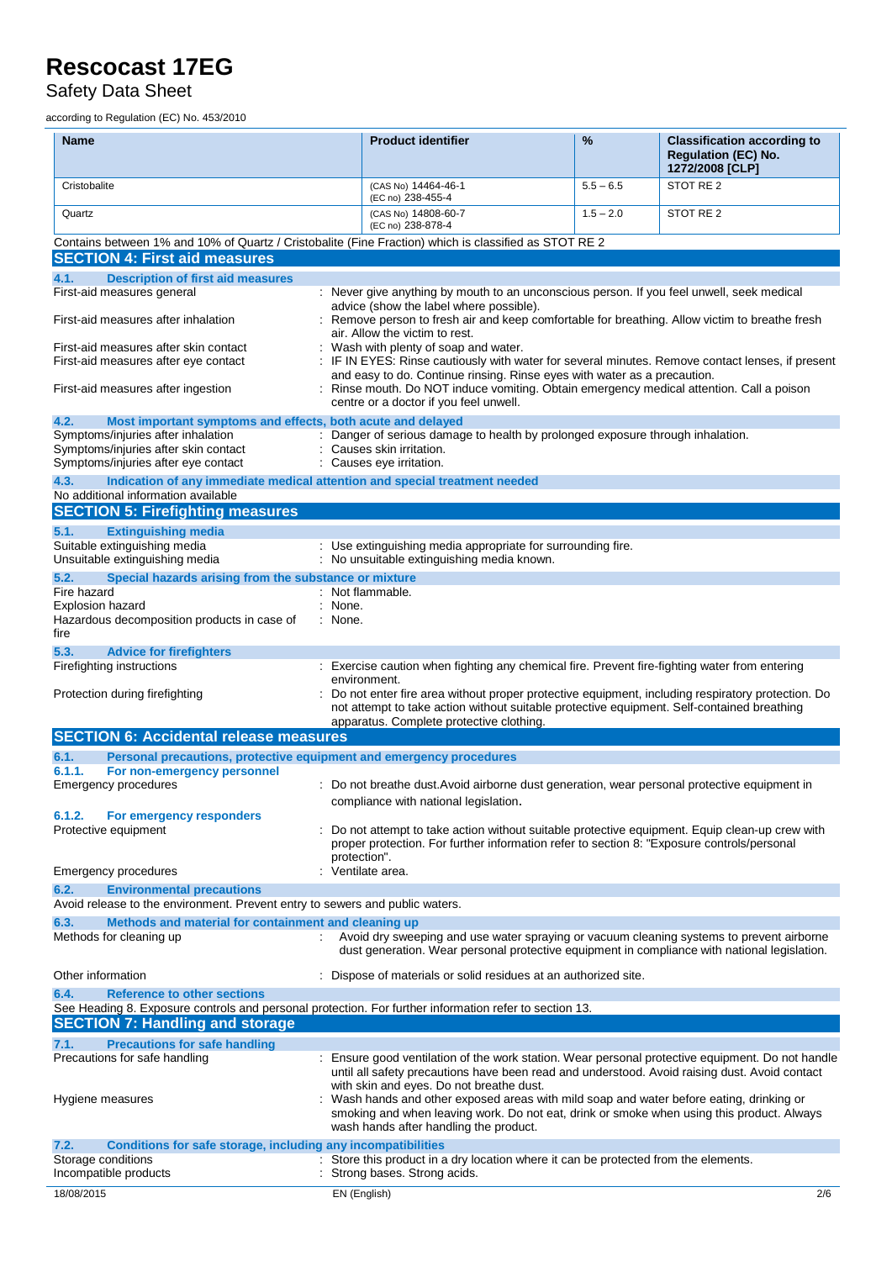### Safety Data Sheet

according to Regulation (EC) No. 453/2010

| <b>Name</b>                                                                                                                                                                                    |              | <b>Product identifier</b>                                                                                                                                                                                                                                                 | %           | <b>Classification according to</b><br><b>Regulation (EC) No.</b><br>1272/2008 [CLP] |
|------------------------------------------------------------------------------------------------------------------------------------------------------------------------------------------------|--------------|---------------------------------------------------------------------------------------------------------------------------------------------------------------------------------------------------------------------------------------------------------------------------|-------------|-------------------------------------------------------------------------------------|
| Cristobalite                                                                                                                                                                                   |              | (CAS No) 14464-46-1<br>(EC no) 238-455-4                                                                                                                                                                                                                                  | $5.5 - 6.5$ | STOT RE 2                                                                           |
| Quartz                                                                                                                                                                                         |              | (CAS No) 14808-60-7<br>(EC no) 238-878-4                                                                                                                                                                                                                                  | $1.5 - 2.0$ | STOT RE <sub>2</sub>                                                                |
| Contains between 1% and 10% of Quartz / Cristobalite (Fine Fraction) which is classified as STOT RE 2                                                                                          |              |                                                                                                                                                                                                                                                                           |             |                                                                                     |
| <b>SECTION 4: First aid measures</b>                                                                                                                                                           |              |                                                                                                                                                                                                                                                                           |             |                                                                                     |
| <b>Description of first aid measures</b><br>4.1.<br>First-aid measures general                                                                                                                 |              | : Never give anything by mouth to an unconscious person. If you feel unwell, seek medical<br>advice (show the label where possible).                                                                                                                                      |             |                                                                                     |
| First-aid measures after inhalation                                                                                                                                                            |              | Remove person to fresh air and keep comfortable for breathing. Allow victim to breathe fresh<br>air. Allow the victim to rest.                                                                                                                                            |             |                                                                                     |
| First-aid measures after skin contact<br>First-aid measures after eye contact                                                                                                                  |              | Wash with plenty of soap and water.<br>IF IN EYES: Rinse cautiously with water for several minutes. Remove contact lenses, if present<br>and easy to do. Continue rinsing. Rinse eyes with water as a precaution.                                                         |             |                                                                                     |
| First-aid measures after ingestion                                                                                                                                                             |              | : Rinse mouth. Do NOT induce vomiting. Obtain emergency medical attention. Call a poison<br>centre or a doctor if you feel unwell.                                                                                                                                        |             |                                                                                     |
| 4.2.<br>Most important symptoms and effects, both acute and delayed<br>Symptoms/injuries after inhalation                                                                                      |              | : Danger of serious damage to health by prolonged exposure through inhalation.                                                                                                                                                                                            |             |                                                                                     |
| Symptoms/injuries after skin contact<br>Symptoms/injuries after eye contact                                                                                                                    |              | Causes skin irritation.<br>: Causes eye irritation.                                                                                                                                                                                                                       |             |                                                                                     |
| 4.3.<br>Indication of any immediate medical attention and special treatment needed                                                                                                             |              |                                                                                                                                                                                                                                                                           |             |                                                                                     |
| No additional information available<br><b>SECTION 5: Firefighting measures</b>                                                                                                                 |              |                                                                                                                                                                                                                                                                           |             |                                                                                     |
| 5.1.<br><b>Extinguishing media</b>                                                                                                                                                             |              |                                                                                                                                                                                                                                                                           |             |                                                                                     |
| Suitable extinguishing media<br>Unsuitable extinguishing media                                                                                                                                 |              | : Use extinguishing media appropriate for surrounding fire.<br>: No unsuitable extinguishing media known.                                                                                                                                                                 |             |                                                                                     |
| 5.2.<br>Special hazards arising from the substance or mixture                                                                                                                                  |              |                                                                                                                                                                                                                                                                           |             |                                                                                     |
| Fire hazard<br>Explosion hazard                                                                                                                                                                | : None.      | : Not flammable.                                                                                                                                                                                                                                                          |             |                                                                                     |
| Hazardous decomposition products in case of<br>fire                                                                                                                                            | : None.      |                                                                                                                                                                                                                                                                           |             |                                                                                     |
| 5.3.<br><b>Advice for firefighters</b>                                                                                                                                                         |              |                                                                                                                                                                                                                                                                           |             |                                                                                     |
| Firefighting instructions                                                                                                                                                                      |              | : Exercise caution when fighting any chemical fire. Prevent fire-fighting water from entering<br>environment.                                                                                                                                                             |             |                                                                                     |
| Protection during firefighting                                                                                                                                                                 |              | Do not enter fire area without proper protective equipment, including respiratory protection. Do<br>not attempt to take action without suitable protective equipment. Self-contained breathing<br>apparatus. Complete protective clothing.                                |             |                                                                                     |
| <b>SECTION 6: Accidental release measures</b>                                                                                                                                                  |              |                                                                                                                                                                                                                                                                           |             |                                                                                     |
| Personal precautions, protective equipment and emergency procedures<br>6.1.                                                                                                                    |              |                                                                                                                                                                                                                                                                           |             |                                                                                     |
| 6.1.1.<br>For non-emergency personnel<br><b>Emergency procedures</b>                                                                                                                           |              | : Do not breathe dust. Avoid airborne dust generation, wear personal protective equipment in                                                                                                                                                                              |             |                                                                                     |
| 6.1.2.<br>For emergency responders                                                                                                                                                             |              | compliance with national legislation.                                                                                                                                                                                                                                     |             |                                                                                     |
| Protective equipment                                                                                                                                                                           | protection". | : Do not attempt to take action without suitable protective equipment. Equip clean-up crew with<br>proper protection. For further information refer to section 8: "Exposure controls/personal                                                                             |             |                                                                                     |
| Emergency procedures                                                                                                                                                                           |              | Ventilate area.                                                                                                                                                                                                                                                           |             |                                                                                     |
| 6.2.<br><b>Environmental precautions</b><br>Avoid release to the environment. Prevent entry to sewers and public waters.                                                                       |              |                                                                                                                                                                                                                                                                           |             |                                                                                     |
| 6.3.<br>Methods and material for containment and cleaning up                                                                                                                                   |              |                                                                                                                                                                                                                                                                           |             |                                                                                     |
| Methods for cleaning up<br>÷                                                                                                                                                                   |              | Avoid dry sweeping and use water spraying or vacuum cleaning systems to prevent airborne<br>dust generation. Wear personal protective equipment in compliance with national legislation.                                                                                  |             |                                                                                     |
| Other information                                                                                                                                                                              |              | Dispose of materials or solid residues at an authorized site.                                                                                                                                                                                                             |             |                                                                                     |
| <b>Reference to other sections</b><br>6.4.<br>See Heading 8. Exposure controls and personal protection. For further information refer to section 13.<br><b>SECTION 7: Handling and storage</b> |              |                                                                                                                                                                                                                                                                           |             |                                                                                     |
| <b>Precautions for safe handling</b><br>7.1.                                                                                                                                                   |              |                                                                                                                                                                                                                                                                           |             |                                                                                     |
| Precautions for safe handling                                                                                                                                                                  |              | : Ensure good ventilation of the work station. Wear personal protective equipment. Do not handle<br>until all safety precautions have been read and understood. Avoid raising dust. Avoid contact                                                                         |             |                                                                                     |
| Hygiene measures                                                                                                                                                                               |              | with skin and eyes. Do not breathe dust.<br>Wash hands and other exposed areas with mild soap and water before eating, drinking or<br>smoking and when leaving work. Do not eat, drink or smoke when using this product. Always<br>wash hands after handling the product. |             |                                                                                     |
| 7.2.<br>Conditions for safe storage, including any incompatibilities                                                                                                                           |              |                                                                                                                                                                                                                                                                           |             |                                                                                     |
| Storage conditions<br>Incompatible products                                                                                                                                                    |              | : Store this product in a dry location where it can be protected from the elements.<br>Strong bases. Strong acids.                                                                                                                                                        |             |                                                                                     |
| 18/08/2015                                                                                                                                                                                     | EN (English) |                                                                                                                                                                                                                                                                           |             | 2/6                                                                                 |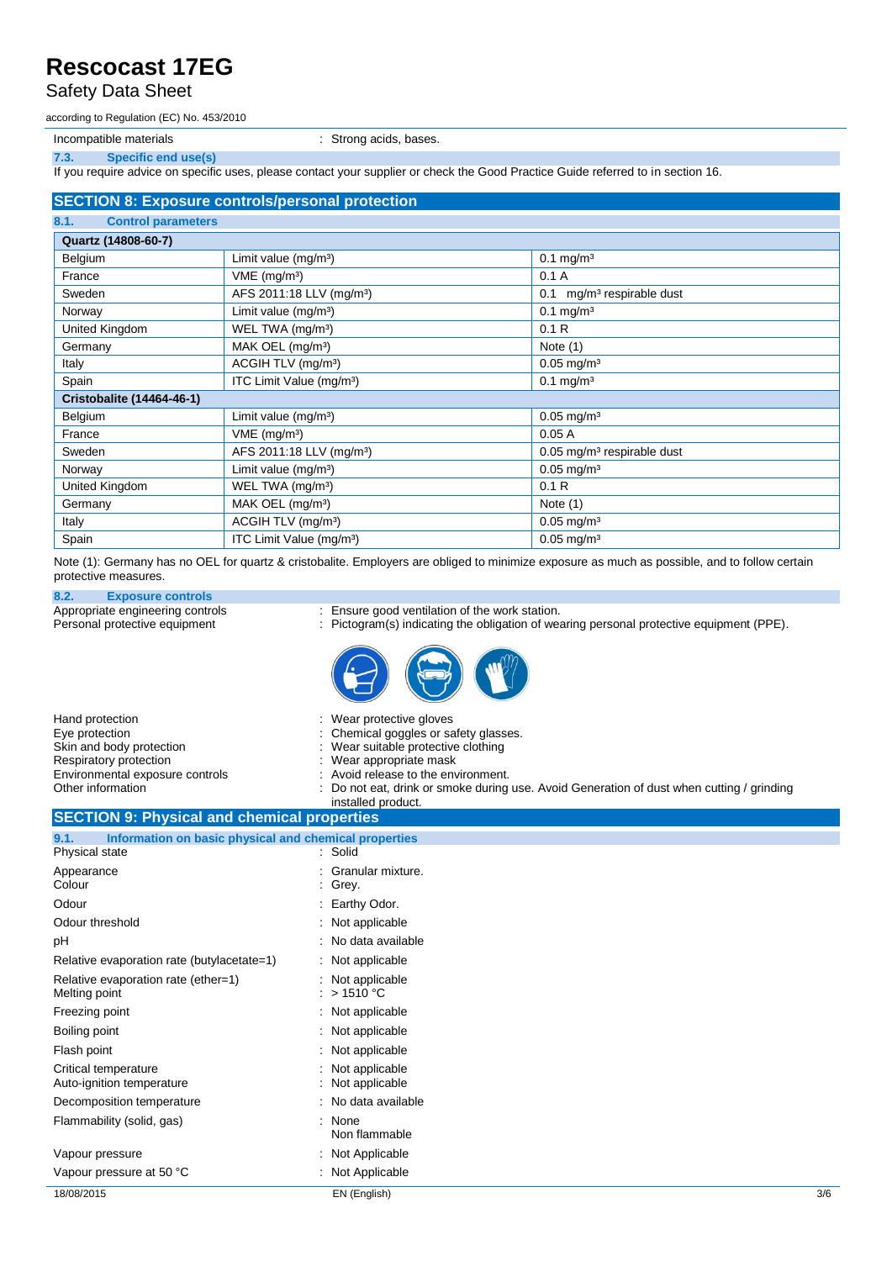#### Safety Data Sheet

according to Regulation (EC) No. 453/2010

Incompatible materials **incompatible materials** : Strong acids, bases.

**7.3. Specific end use(s)**

If you require advice on specific uses, please contact your supplier or check the Good Practice Guide referred to in section 16.

| <b>SECTION 8: Exposure controls/personal protection</b> |                                      |                                          |  |  |  |
|---------------------------------------------------------|--------------------------------------|------------------------------------------|--|--|--|
| <b>Control parameters</b><br>8.1.                       |                                      |                                          |  |  |  |
| Quartz (14808-60-7)                                     |                                      |                                          |  |  |  |
| Belgium                                                 | Limit value $(mg/m3)$                | $0.1 \text{ mg/m}^3$                     |  |  |  |
| France                                                  | $VME$ (mg/m <sup>3</sup> )           | 0.1A                                     |  |  |  |
| Sweden                                                  | AFS 2011:18 LLV (mg/m <sup>3</sup> ) | mg/m <sup>3</sup> respirable dust<br>0.1 |  |  |  |
| Norway                                                  | Limit value (mg/m <sup>3</sup> )     | $0.1 \,\mathrm{mg/m^3}$                  |  |  |  |
| United Kingdom                                          | WEL TWA (mg/m <sup>3</sup> )         | 0.1R                                     |  |  |  |
| Germany                                                 | MAK OEL (mg/m <sup>3</sup> )         | Note $(1)$                               |  |  |  |
| Italy                                                   | ACGIH TLV (mg/m <sup>3</sup> )       | $0.05 \,\mathrm{mg/m^3}$                 |  |  |  |
| Spain                                                   | ITC Limit Value (mg/m <sup>3</sup> ) | $0.1 \,\mathrm{mg/m^3}$                  |  |  |  |
| <b>Cristobalite (14464-46-1)</b>                        |                                      |                                          |  |  |  |
| Belgium                                                 | Limit value $(mg/m3)$                | $0.05 \text{ mg/m}^3$                    |  |  |  |
| France                                                  | $VME$ (mg/m <sup>3</sup> )           | 0.05A                                    |  |  |  |
| Sweden                                                  | AFS 2011:18 LLV (mg/m <sup>3</sup> ) | 0.05 mg/m <sup>3</sup> respirable dust   |  |  |  |
| Norway                                                  | Limit value (mg/m <sup>3</sup> )     | $0.05$ mg/m <sup>3</sup>                 |  |  |  |
| United Kingdom                                          | WEL TWA (mg/m <sup>3</sup> )         | 0.1R                                     |  |  |  |
| Germany                                                 | MAK OEL (mg/m <sup>3</sup> )         | Note $(1)$                               |  |  |  |
| Italy                                                   | ACGIH TLV (mg/m <sup>3</sup> )       | $0.05$ mg/m <sup>3</sup>                 |  |  |  |
| Spain                                                   | ITC Limit Value (mg/m <sup>3</sup> ) | $0.05 \text{ mg/m}^3$                    |  |  |  |

Note (1): Germany has no OEL for quartz & cristobalite. Employers are obliged to minimize exposure as much as possible, and to follow certain protective measures.

**8.2. Exposure controls**

Appropriate engineering controls : Ensure good ventilation of the work station.<br>
Personal protective equipment : Pictogram(s) indicating the obligation of we : Pictogram(s) indicating the obligation of wearing personal protective equipment (PPE).



| Hand protection                 | : Wear protective gloves                                                                  |
|---------------------------------|-------------------------------------------------------------------------------------------|
| Eye protection                  | : Chemical goggles or safety glasses.                                                     |
| Skin and body protection        | : Wear suitable protective clothing                                                       |
| Respiratory protection          | : Wear appropriate mask                                                                   |
| Environmental exposure controls | : Avoid release to the environment.                                                       |
| Other information               | : Do not eat, drink or smoke during use. Avoid Generation of dust when cutting / grinding |
|                                 | installed product.                                                                        |
| $\bullet$                       |                                                                                           |

#### **SECTION 9: Physical and chemical properties 9.1. Information on basic physical and chemical properties** Physical state Appearance : Granular mixture.

| Colour                                               | : Grey.                               |
|------------------------------------------------------|---------------------------------------|
| Odour                                                | : Earthy Odor.                        |
| Odour threshold                                      | $\therefore$ Not applicable           |
| pH                                                   | No data available                     |
| Relative evaporation rate (butylacetate=1)           | $\therefore$ Not applicable           |
| Relative evaporation rate (ether=1)<br>Melting point | Not applicable<br>: $>1510^{\circ}$ C |
| Freezing point                                       | : Not applicable                      |
| Boiling point                                        | $\therefore$ Not applicable           |
| Flash point                                          | $\therefore$ Not applicable           |
| Critical temperature<br>Auto-ignition temperature    | Not applicable<br>Not applicable      |
| Decomposition temperature                            | No data available                     |
| Flammability (solid, gas)                            | : None<br>Non flammable               |
| Vapour pressure                                      | : Not Applicable                      |
| Vapour pressure at 50 °C                             | Not Applicable                        |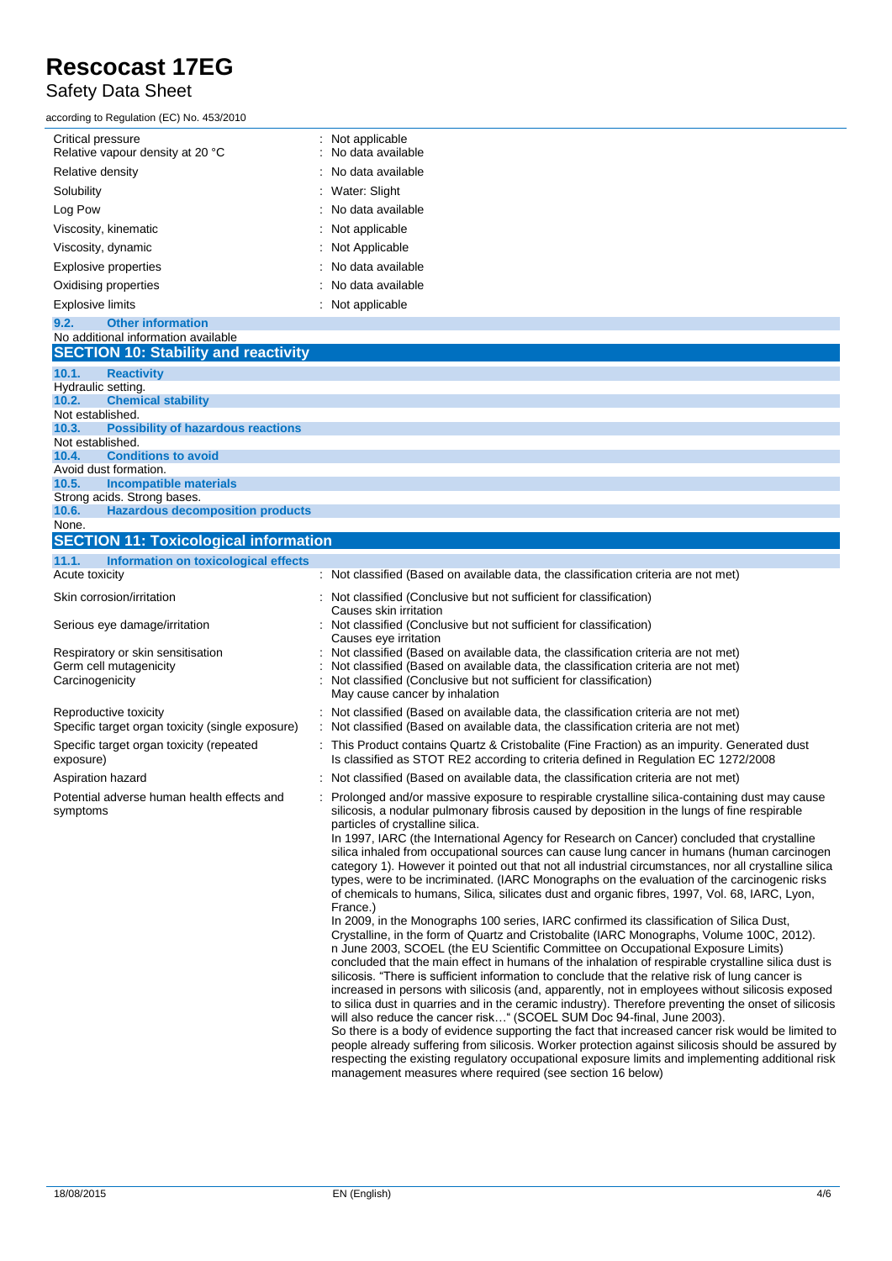### Safety Data Sheet

according to Regulation (EC) No. 453/2010

| Critical pressure<br>Relative vapour density at 20 °C | : Not applicable<br>: No data available |
|-------------------------------------------------------|-----------------------------------------|
| Relative density                                      | : No data available                     |
| Solubility                                            | : Water: Slight                         |
| Log Pow                                               | : No data available                     |
| Viscosity, kinematic                                  | : Not applicable                        |
| Viscosity, dynamic                                    | : Not Applicable                        |
| <b>Explosive properties</b>                           | : No data available                     |
| Oxidising properties                                  | : No data available                     |
| <b>Explosive limits</b>                               | : Not applicable                        |

#### **9.2. Other information** No additional information available **SECTION 10: Stability and reactivity 10.1. Reactivity** Hydraulic setting. **10.2. Chemical stability** Not established. **10.3. Possibility of hazardous reactions** Not established. **10.4. Conditions to avoid** Avoid dust formation. **10.5. Incompatible materials** Strong acids. Strong bases. **10.6. Hazardous decomposition products** None. **SECTION 11: Toxicological information 11.1. Information on toxicological effects** Acute toxicity : Not classified (Based on available data, the classification criteria are not met)

| : Not classified (Conclusive but not sufficient for classification)<br>Causes skin irritation                                                                                                                                                                                                                                                                                                                                                                                                                                                                                                                                                                                                                                                                                                                                                                                                                                                                                                                                                                                                                                                                                                                                                                                                                                                                                                                                                                                                                                                                                                                                                                                                                                                                                                                                                                                                                 |
|---------------------------------------------------------------------------------------------------------------------------------------------------------------------------------------------------------------------------------------------------------------------------------------------------------------------------------------------------------------------------------------------------------------------------------------------------------------------------------------------------------------------------------------------------------------------------------------------------------------------------------------------------------------------------------------------------------------------------------------------------------------------------------------------------------------------------------------------------------------------------------------------------------------------------------------------------------------------------------------------------------------------------------------------------------------------------------------------------------------------------------------------------------------------------------------------------------------------------------------------------------------------------------------------------------------------------------------------------------------------------------------------------------------------------------------------------------------------------------------------------------------------------------------------------------------------------------------------------------------------------------------------------------------------------------------------------------------------------------------------------------------------------------------------------------------------------------------------------------------------------------------------------------------|
| : Not classified (Conclusive but not sufficient for classification)<br>Causes eye irritation                                                                                                                                                                                                                                                                                                                                                                                                                                                                                                                                                                                                                                                                                                                                                                                                                                                                                                                                                                                                                                                                                                                                                                                                                                                                                                                                                                                                                                                                                                                                                                                                                                                                                                                                                                                                                  |
| Not classified (Based on available data, the classification criteria are not met)<br>Not classified (Based on available data, the classification criteria are not met)<br>Not classified (Conclusive but not sufficient for classification)<br>May cause cancer by inhalation                                                                                                                                                                                                                                                                                                                                                                                                                                                                                                                                                                                                                                                                                                                                                                                                                                                                                                                                                                                                                                                                                                                                                                                                                                                                                                                                                                                                                                                                                                                                                                                                                                 |
| : Not classified (Based on available data, the classification criteria are not met)<br>: Not classified (Based on available data, the classification criteria are not met)                                                                                                                                                                                                                                                                                                                                                                                                                                                                                                                                                                                                                                                                                                                                                                                                                                                                                                                                                                                                                                                                                                                                                                                                                                                                                                                                                                                                                                                                                                                                                                                                                                                                                                                                    |
| : This Product contains Quartz & Cristobalite (Fine Fraction) as an impurity. Generated dust<br>Is classified as STOT RE2 according to criteria defined in Regulation EC 1272/2008                                                                                                                                                                                                                                                                                                                                                                                                                                                                                                                                                                                                                                                                                                                                                                                                                                                                                                                                                                                                                                                                                                                                                                                                                                                                                                                                                                                                                                                                                                                                                                                                                                                                                                                            |
| : Not classified (Based on available data, the classification criteria are not met)                                                                                                                                                                                                                                                                                                                                                                                                                                                                                                                                                                                                                                                                                                                                                                                                                                                                                                                                                                                                                                                                                                                                                                                                                                                                                                                                                                                                                                                                                                                                                                                                                                                                                                                                                                                                                           |
| : Prolonged and/or massive exposure to respirable crystalline silica-containing dust may cause<br>silicosis, a nodular pulmonary fibrosis caused by deposition in the lungs of fine respirable<br>particles of crystalline silica.<br>In 1997, IARC (the International Agency for Research on Cancer) concluded that crystalline<br>silica inhaled from occupational sources can cause lung cancer in humans (human carcinogen<br>category 1). However it pointed out that not all industrial circumstances, nor all crystalline silica<br>types, were to be incriminated. (IARC Monographs on the evaluation of the carcinogenic risks<br>of chemicals to humans, Silica, silicates dust and organic fibres, 1997, Vol. 68, IARC, Lyon,<br>France.)<br>In 2009, in the Monographs 100 series, IARC confirmed its classification of Silica Dust,<br>Crystalline, in the form of Quartz and Cristobalite (IARC Monographs, Volume 100C, 2012).<br>n June 2003, SCOEL (the EU Scientific Committee on Occupational Exposure Limits)<br>concluded that the main effect in humans of the inhalation of respirable crystalline silica dust is<br>silicosis. "There is sufficient information to conclude that the relative risk of lung cancer is<br>increased in persons with silicosis (and, apparently, not in employees without silicosis exposed<br>to silica dust in quarries and in the ceramic industry). Therefore preventing the onset of silicosis<br>will also reduce the cancer risk" (SCOEL SUM Doc 94-final, June 2003).<br>So there is a body of evidence supporting the fact that increased cancer risk would be limited to<br>people already suffering from silicosis. Worker protection against silicosis should be assured by<br>respecting the existing regulatory occupational exposure limits and implementing additional risk<br>management measures where required (see section 16 below) |
|                                                                                                                                                                                                                                                                                                                                                                                                                                                                                                                                                                                                                                                                                                                                                                                                                                                                                                                                                                                                                                                                                                                                                                                                                                                                                                                                                                                                                                                                                                                                                                                                                                                                                                                                                                                                                                                                                                               |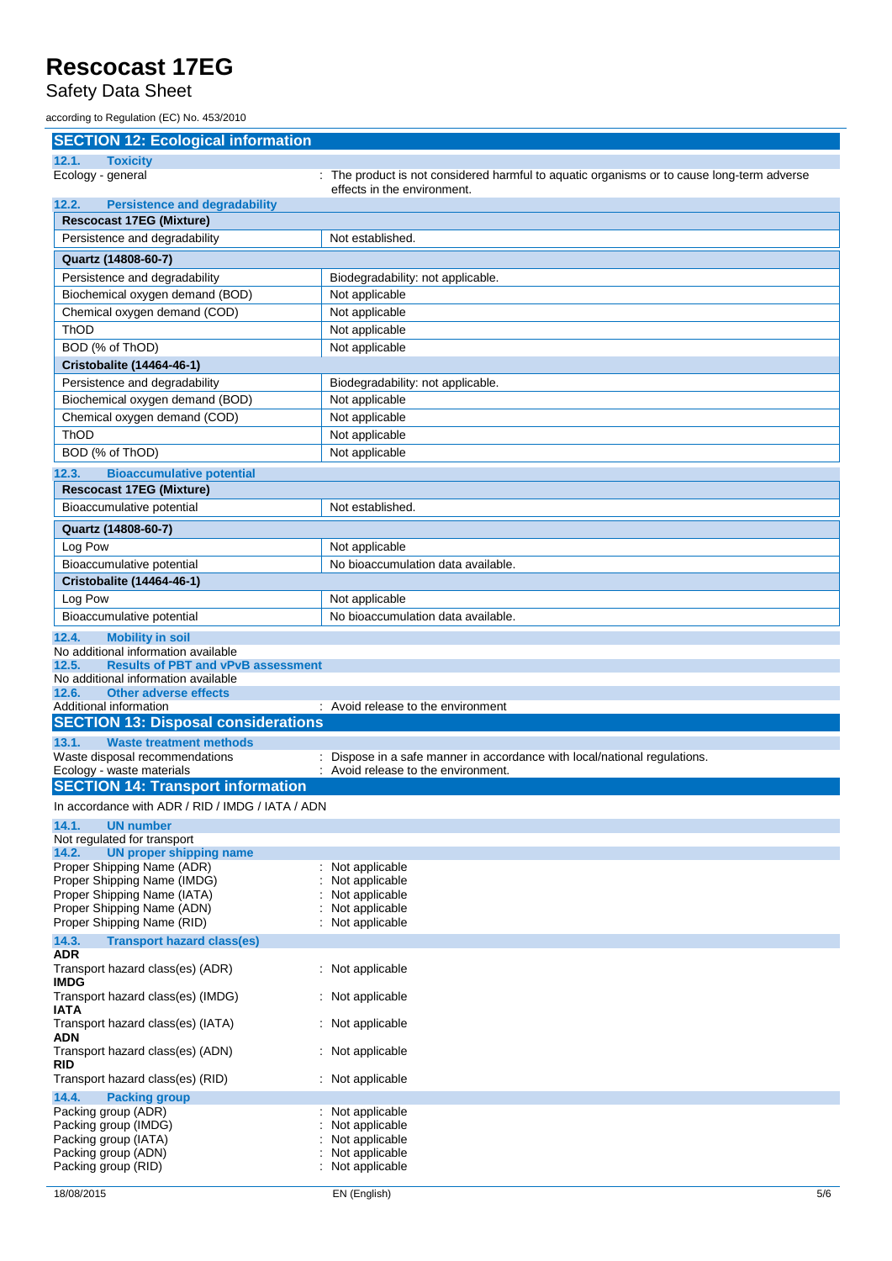#### Safety Data Sheet

according to Regulation (EC) No. 453/2010

#### **SECTION 12: Ecological information**

| 12.1.<br><b>Toxicity</b>                                                                                                                                                                                                  |                                                                                                                           |
|---------------------------------------------------------------------------------------------------------------------------------------------------------------------------------------------------------------------------|---------------------------------------------------------------------------------------------------------------------------|
| Ecology - general                                                                                                                                                                                                         | : The product is not considered harmful to aquatic organisms or to cause long-term adverse<br>effects in the environment. |
| <b>Persistence and degradability</b><br>12.2.                                                                                                                                                                             |                                                                                                                           |
| <b>Rescocast 17EG (Mixture)</b>                                                                                                                                                                                           |                                                                                                                           |
| Persistence and degradability                                                                                                                                                                                             | Not established.                                                                                                          |
| Quartz (14808-60-7)                                                                                                                                                                                                       |                                                                                                                           |
| Persistence and degradability                                                                                                                                                                                             | Biodegradability: not applicable.                                                                                         |
| Biochemical oxygen demand (BOD)                                                                                                                                                                                           | Not applicable                                                                                                            |
| Chemical oxygen demand (COD)                                                                                                                                                                                              | Not applicable                                                                                                            |
| ThOD                                                                                                                                                                                                                      | Not applicable                                                                                                            |
| BOD (% of ThOD)                                                                                                                                                                                                           | Not applicable                                                                                                            |
| Cristobalite (14464-46-1)                                                                                                                                                                                                 |                                                                                                                           |
| Persistence and degradability                                                                                                                                                                                             | Biodegradability: not applicable.                                                                                         |
| Biochemical oxygen demand (BOD)                                                                                                                                                                                           | Not applicable                                                                                                            |
| Chemical oxygen demand (COD)                                                                                                                                                                                              | Not applicable                                                                                                            |
| ThOD                                                                                                                                                                                                                      | Not applicable                                                                                                            |
| BOD (% of ThOD)                                                                                                                                                                                                           | Not applicable                                                                                                            |
|                                                                                                                                                                                                                           |                                                                                                                           |
| <b>Bioaccumulative potential</b><br>2.3.<br><b>Rescocast 17EG (Mixture)</b>                                                                                                                                               |                                                                                                                           |
| Bioaccumulative potential                                                                                                                                                                                                 | Not established.                                                                                                          |
|                                                                                                                                                                                                                           |                                                                                                                           |
| Quartz (14808-60-7)                                                                                                                                                                                                       |                                                                                                                           |
| Log Pow                                                                                                                                                                                                                   | Not applicable                                                                                                            |
| Bioaccumulative potential                                                                                                                                                                                                 | No bioaccumulation data available.                                                                                        |
| Cristobalite (14464-46-1)                                                                                                                                                                                                 |                                                                                                                           |
| Log Pow                                                                                                                                                                                                                   | Not applicable                                                                                                            |
| Bioaccumulative potential                                                                                                                                                                                                 | No bioaccumulation data available.                                                                                        |
| <b>Mobility in soil</b><br>12.4.                                                                                                                                                                                          |                                                                                                                           |
| No additional information available                                                                                                                                                                                       |                                                                                                                           |
| 12.5.<br><b>Results of PBT and vPvB assessment</b><br>No additional information available                                                                                                                                 |                                                                                                                           |
| 12.6.<br><b>Other adverse effects</b>                                                                                                                                                                                     |                                                                                                                           |
| Additional information                                                                                                                                                                                                    | : Avoid release to the environment                                                                                        |
| <b>SECTION 13: Disposal considerations</b>                                                                                                                                                                                |                                                                                                                           |
| 13.1.<br><b>Waste treatment methods</b>                                                                                                                                                                                   |                                                                                                                           |
| Waste disposal recommendations                                                                                                                                                                                            | : Dispose in a safe manner in accordance with local/national regulations.                                                 |
| Ecology - waste materials<br><b>SECTION 14: Transport information</b>                                                                                                                                                     | : Avoid release to the environment.                                                                                       |
|                                                                                                                                                                                                                           |                                                                                                                           |
| In accordance with ADR / RID / IMDG / IATA / ADN                                                                                                                                                                          |                                                                                                                           |
| 14.1. UN number                                                                                                                                                                                                           |                                                                                                                           |
|                                                                                                                                                                                                                           |                                                                                                                           |
|                                                                                                                                                                                                                           |                                                                                                                           |
| <b>UN proper shipping name</b><br>14.2.                                                                                                                                                                                   | : Not applicable                                                                                                          |
|                                                                                                                                                                                                                           | Not applicable                                                                                                            |
| Proper Shipping Name (IMDG)                                                                                                                                                                                               | Not applicable                                                                                                            |
|                                                                                                                                                                                                                           | Not applicable                                                                                                            |
|                                                                                                                                                                                                                           | : Not applicable                                                                                                          |
| 14.3.<br><b>Transport hazard class(es)</b><br>ADR                                                                                                                                                                         |                                                                                                                           |
|                                                                                                                                                                                                                           | : Not applicable                                                                                                          |
|                                                                                                                                                                                                                           | : Not applicable                                                                                                          |
|                                                                                                                                                                                                                           | : Not applicable                                                                                                          |
| ADN<br>RID                                                                                                                                                                                                                | : Not applicable                                                                                                          |
|                                                                                                                                                                                                                           | : Not applicable                                                                                                          |
| Not regulated for transport<br>Proper Shipping Name (ADR)<br>Proper Shipping Name (IATA)<br>Proper Shipping Name (ADN)<br>Proper Shipping Name (RID)<br>Transport hazard class(es) (RID)<br>14.4.<br><b>Packing group</b> |                                                                                                                           |
| Transport hazard class(es) (ADR)<br><b>IMDG</b><br>Transport hazard class(es) (IMDG)<br><b>IATA</b><br>Transport hazard class(es) (IATA)<br>Transport hazard class(es) (ADN)<br>Packing group (ADR)                       | : Not applicable                                                                                                          |
| Packing group (IMDG)<br>Packing group (IATA)                                                                                                                                                                              | Not applicable<br>Not applicable                                                                                          |

Packing group (RID) **interest and the Contract Contract Contract Contract Contract Contract Contract Contract Contract Contract Contract Contract Contract Contract Contract Contract Contract Contract Contract Contract Cont**